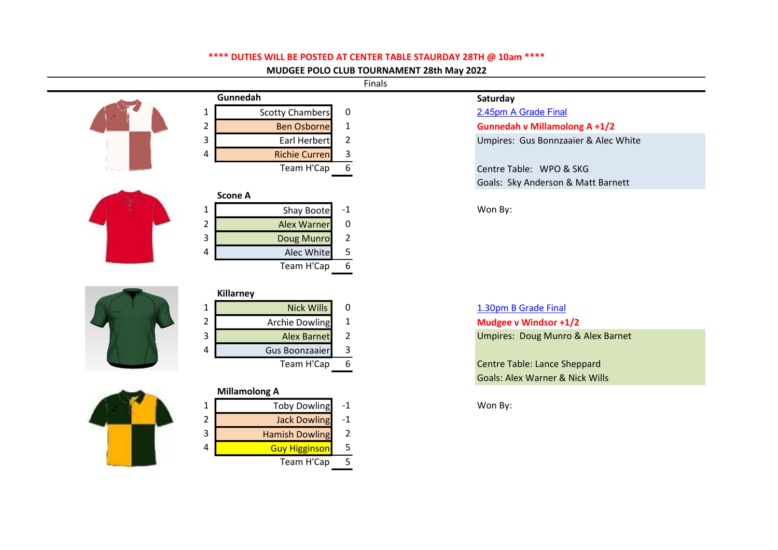## \*\*\*\* DUTIES WILL BE POSTED AT CENTER TABLE STAURDAY 28TH @ 10am \*\*\*\*

MUDGEE POLO CLUB TOURNAMENT 28th May 2022

Finals

|   | Gunnedah             |     | Saturday                   |
|---|----------------------|-----|----------------------------|
|   | Scotty Chambers      | 0   | 2.45pm A Grade Final       |
|   | <b>Ben Osborne</b>   |     | <b>Gunnedah v Millamol</b> |
| 3 | Earl Herbert         |     | Umpires: Gus Bonnza        |
| 4 | <b>Richie Curren</b> | 3   |                            |
|   | Team H'Cap           | - 6 | Centre Table: WPO 8        |
|   |                      |     | Goals: Sky Anderson        |
|   | <b>Scone A</b>       |     |                            |



|               |   | Alec White        |  |
|---------------|---|-------------------|--|
|               |   | Team H'Cap        |  |
|               |   |                   |  |
|               |   | <b>Killarney</b>  |  |
| <b>ANTINA</b> | 1 | <b>Nick Wills</b> |  |
|               | 2 | Archie Dowling    |  |
|               |   | Alow Dornot       |  |

|   | Killarney          |                                 |
|---|--------------------|---------------------------------|
|   | Nick Wills         | 1.30pm B Grade Final            |
|   | Archie Dowling     | Mudgee v Windsor +1/2           |
| 3 | <b>Alex Barnet</b> | Umpires: Doug Munro &           |
| 4 | Gus Boonzaaier     |                                 |
|   | Team H'Cap         | <b>Centre Table: Lance Shep</b> |

2 **Alex Warner** 0 3 Doug Munro 2



|   | <b>Millamolong A</b>  |      |         |
|---|-----------------------|------|---------|
|   | Toby Dowling          | -1   | Won By: |
| 2 | <b>Jack Dowling</b>   | $-1$ |         |
| 3 | <b>Hamish Dowling</b> |      |         |
| 4 | <b>Guy Higginson</b>  |      |         |
|   | Team H'Cap            |      |         |

|                | Gunnedah             |   | Saturday                             |
|----------------|----------------------|---|--------------------------------------|
|                | Scotty Chambers      |   | 2.45pm A Grade Final                 |
| $\overline{2}$ | <b>Ben Osborne</b>   |   | <b>Gunnedah v Millamolong A +1/2</b> |
| 3              | Earl Herbert         |   | Umpires: Gus Bonnzaaier & Alec White |
| 4              | <b>Richie Curren</b> |   |                                      |
|                | Team H'Cap           | 6 | Centre Table: WPO & SKG              |

Goals: Sky Anderson & Matt Barnett

1 Shay Boote -1 Won By:

3 Alex Barnet 2 2 Umpires: Doug Munro & Alex Barnet

Team High Centre Table: Lance Sheppard Goals: Alex Warner & Nick Wills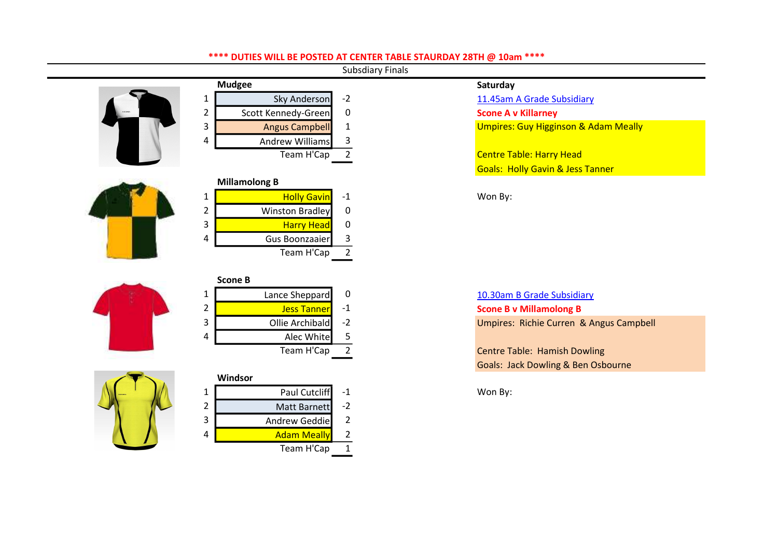## \*\*\*\* DUTIES WILL BE POSTED AT CENTER TABLE STAURDAY 28TH @ 10am \*\*\*\*

Subsdiary Finals



|   | <b>Mudgee</b>         |      | Saturday                                |
|---|-----------------------|------|-----------------------------------------|
| 1 | Sky Anderson          | $-2$ | 11.45am A Grade Subsidiary              |
| 2 | Scott Kennedy-Green   | 0    | <b>Scone A v Killarney</b>              |
| 3 | <b>Angus Campbell</b> |      | Umpires: Guy Higginson & A              |
| 4 | Andrew Williams       | 3    |                                         |
|   | Team H'Cap            |      | <b>Centre Table: Harry Head</b>         |
|   |                       |      | <b>Goals: Holly Gavin &amp; Jess Ta</b> |
|   | <b>Millamolong B</b>  |      |                                         |
|   |                       |      | $\cdots$                                |





| 1 | <b>Holly Gavin</b> | -1 | Won By: |
|---|--------------------|----|---------|
| 2 | Winston Bradley    | 0  |         |
| 3 | <b>Harry Head</b>  |    |         |
| 4 | Gus Boonzaaier     |    |         |
|   | Team H'Cap         |    |         |
|   |                    |    |         |
|   | Scone B            |    |         |

|                | Lance Sheppard     | 0    | 10.30am B Grade Subsidiary         |
|----------------|--------------------|------|------------------------------------|
|                | <b>Jess Tanner</b> |      | <b>Scone B v Millamolong B</b>     |
| 3              | Ollie Archibald    | $-2$ | Umpires: Richie Curren & A         |
| $\overline{4}$ | Alec White         |      |                                    |
|                | Team H'Cap         |      | <b>Centre Table: Hamish Dowlin</b> |

# Windsor 1 Paul Cutcliff -1 Won By: 2 Matt Barnett -2 3 Andrew Geddie 2 4 **Adam Meally** 2 Team H'Cap 1

|   | <b>Mudgee</b>         |      | Saturday                                        |
|---|-----------------------|------|-------------------------------------------------|
|   | Sky Anderson          | $-2$ | 11.45am A Grade Subsidiary                      |
| 2 | Scott Kennedy-Green   | 0    | <b>Scone A v Killarney</b>                      |
| 3 | <b>Angus Campbell</b> |      | <b>Umpires: Guy Higginson &amp; Adam Meally</b> |
| 4 | Andrew Williams       | 3    |                                                 |
|   | Team H'Cap            |      | <b>Centre Table: Harry Head</b>                 |
|   |                       |      | <b>Goals: Holly Gavin &amp; Jess Tanner</b>     |
|   | Millamolong R         |      |                                                 |

3 Ollie Archibald -2 Umpires: Richie Curren & Angus Campbell

Exam How Centre Table: Hamish Dowling Goals: Jack Dowling & Ben Osbourne